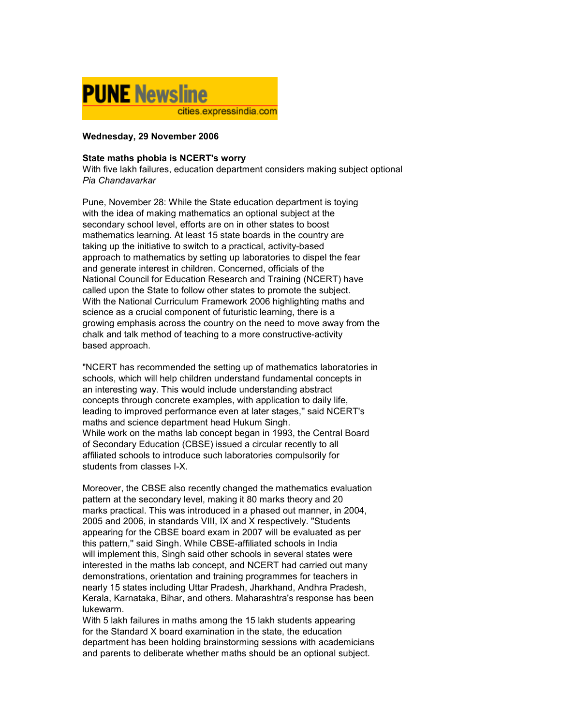

## Wednesday, 29 November 2006

## State maths phobia is NCERT's worry

With five lakh failures, education department considers making subject optional Pia Chandavarkar

Pune, November 28: While the State education department is toying with the idea of making mathematics an optional subject at the secondary school level, efforts are on in other states to boost mathematics learning. At least 15 state boards in the country are taking up the initiative to switch to a practical, activity-based approach to mathematics by setting up laboratories to dispel the fear and generate interest in children. Concerned, officials of the National Council for Education Research and Training (NCERT) have called upon the State to follow other states to promote the subject. With the National Curriculum Framework 2006 highlighting maths and science as a crucial component of futuristic learning, there is a growing emphasis across the country on the need to move away from the chalk and talk method of teaching to a more constructive-activity based approach.

"NCERT has recommended the setting up of mathematics laboratories in schools, which will help children understand fundamental concepts in an interesting way. This would include understanding abstract concepts through concrete examples, with application to daily life, leading to improved performance even at later stages,'' said NCERT's maths and science department head Hukum Singh. While work on the maths lab concept began in 1993, the Central Board of Secondary Education (CBSE) issued a circular recently to all affiliated schools to introduce such laboratories compulsorily for students from classes I-X.

Moreover, the CBSE also recently changed the mathematics evaluation pattern at the secondary level, making it 80 marks theory and 20 marks practical. This was introduced in a phased out manner, in 2004, 2005 and 2006, in standards VIII, IX and X respectively. "Students appearing for the CBSE board exam in 2007 will be evaluated as per this pattern,'' said Singh. While CBSE-affiliated schools in India will implement this, Singh said other schools in several states were interested in the maths lab concept, and NCERT had carried out many demonstrations, orientation and training programmes for teachers in nearly 15 states including Uttar Pradesh, Jharkhand, Andhra Pradesh, Kerala, Karnataka, Bihar, and others. Maharashtra's response has been lukewarm.

With 5 lakh failures in maths among the 15 lakh students appearing for the Standard X board examination in the state, the education department has been holding brainstorming sessions with academicians and parents to deliberate whether maths should be an optional subject.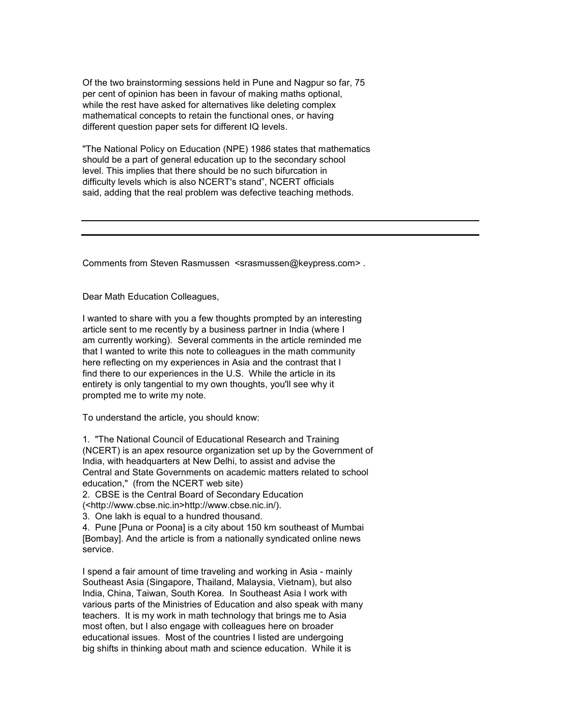Of the two brainstorming sessions held in Pune and Nagpur so far, 75 per cent of opinion has been in favour of making maths optional, while the rest have asked for alternatives like deleting complex mathematical concepts to retain the functional ones, or having different question paper sets for different IQ levels.

"The National Policy on Education (NPE) 1986 states that mathematics should be a part of general education up to the secondary school level. This implies that there should be no such bifurcation in difficulty levels which is also NCERT's stand", NCERT officials said, adding that the real problem was defective teaching methods.

Comments from Steven Rasmussen <srasmussen@keypress.com> .

Dear Math Education Colleagues,

I wanted to share with you a few thoughts prompted by an interesting article sent to me recently by a business partner in India (where I am currently working). Several comments in the article reminded me that I wanted to write this note to colleagues in the math community here reflecting on my experiences in Asia and the contrast that I find there to our experiences in the U.S. While the article in its entirety is only tangential to my own thoughts, you'll see why it prompted me to write my note.

To understand the article, you should know:

1. "The National Council of Educational Research and Training (NCERT) is an apex resource organization set up by the Government of India, with headquarters at New Delhi, to assist and advise the Central and State Governments on academic matters related to school education," (from the NCERT web site)

2. CBSE is the Central Board of Secondary Education

(<http://www.cbse.nic.in>http://www.cbse.nic.in/).

3. One lakh is equal to a hundred thousand.

4. Pune [Puna or Poona] is a city about 150 km southeast of Mumbai [Bombay]. And the article is from a nationally syndicated online news service.

I spend a fair amount of time traveling and working in Asia - mainly Southeast Asia (Singapore, Thailand, Malaysia, Vietnam), but also India, China, Taiwan, South Korea. In Southeast Asia I work with various parts of the Ministries of Education and also speak with many teachers. It is my work in math technology that brings me to Asia most often, but I also engage with colleagues here on broader educational issues. Most of the countries I listed are undergoing big shifts in thinking about math and science education. While it is